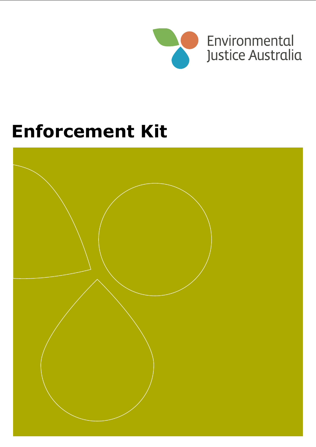

# **Enforcement Kit**

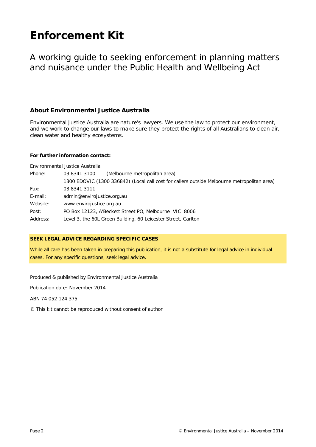# **Enforcement Kit**

A working guide to seeking enforcement in planning matters and nuisance under the Public Health and Wellbeing Act

#### **About Environmental Justice Australia**

Environmental Justice Australia are nature's lawyers. We use the law to protect our environment, and we work to change our laws to make sure they protect the rights of all Australians to clean air, clean water and healthy ecosystems.

#### **For further information contact:**

Environmental Justice Australia

| Phone:   | 03 8341 3100<br>(Melbourne metropolitan area)                                               |  |  |  |
|----------|---------------------------------------------------------------------------------------------|--|--|--|
|          | 1300 EDOVIC (1300 336842) (Local call cost for callers outside Melbourne metropolitan area) |  |  |  |
| Fax:     | 03 8341 3111                                                                                |  |  |  |
| E-mail:  | admin@envirojustice.org.au                                                                  |  |  |  |
| Website: | www.envirojustice.org.au                                                                    |  |  |  |
| Post:    | PO Box 12123, A'Beckett Street PO, Melbourne VIC 8006                                       |  |  |  |
| Address: | Level 3, the 60L Green Building, 60 Leicester Street, Carlton                               |  |  |  |

#### **SEEK LEGAL ADVICE REGARDING SPECIFIC CASES**

While all care has been taken in preparing this publication, it is not a substitute for legal advice in individual cases. For any specific questions, seek legal advice.

Produced & published by Environmental Justice Australia

Publication date: November 2014

ABN 74 052 124 375

© This kit cannot be reproduced without consent of author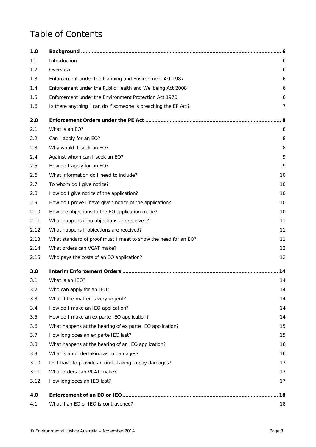### Table of Contents

| 1.0  |                                                                |                |
|------|----------------------------------------------------------------|----------------|
| 1.1  | <b>Introduction</b>                                            | 6              |
| 1.2  | Overview                                                       | 6              |
| 1.3  | Enforcement under the Planning and Environment Act 1987        | 6              |
| 1.4  | Enforcement under the Public Health and Wellbeing Act 2008     | 6              |
| 1.5  | Enforcement under the Environment Protection Act 1970          | 6              |
| 1.6  | Is there anything I can do if someone is breaching the EP Act? | $\overline{7}$ |
| 2.0  |                                                                |                |
| 2.1  | What is an EO?                                                 | 8              |
| 2.2  | Can I apply for an EO?                                         | 8              |
| 2.3  | Why would I seek an EO?                                        | 8              |
| 2.4  | Against whom can I seek an EO?                                 | 9              |
| 2.5  | How do I apply for an EO?                                      | 9              |
| 2.6  | What information do I need to include?                         | 10             |
| 2.7  | To whom do I give notice?                                      | 10             |
| 2.8  | How do I give notice of the application?                       | 10             |
| 2.9  | How do I prove I have given notice of the application?         | 10             |
| 2.10 | How are objections to the EO application made?                 | 10             |
| 2.11 | What happens if no objections are received?                    | 11             |
| 2.12 | What happens if objections are received?                       | 11             |
| 2.13 | What standard of proof must I meet to show the need for an EO? | 11             |
| 2.14 | What orders can VCAT make?                                     | 12             |
| 2.15 | Who pays the costs of an EO application?                       | 12             |
| 3.0  |                                                                | 14             |
| 3.1  | What is an IEO?                                                | 14             |
| 3.2  | Who can apply for an IEO?                                      | 14             |
| 3.3  | What if the matter is very urgent?                             | 14             |
| 3.4  | How do I make an IEO application?                              | 14             |
| 3.5  | How do I make an ex parte IEO application?                     | 14             |
| 3.6  | What happens at the hearing of ex parte IEO application?       | 15             |
| 3.7  | How long does an ex parte IEO last?                            | 15             |
| 3.8  | What happens at the hearing of an IEO application?             | 16             |
| 3.9  | What is an undertaking as to damages?                          | 16             |
| 3.10 | Do I have to provide an undertaking to pay damages?            | 17             |
| 3.11 | What orders can VCAT make?                                     | 17             |
| 3.12 | How long does an IEO last?                                     | 17             |
| 4.0  |                                                                | 18             |
| 4.1  | What if an EO or IEO is contravened?                           | 18             |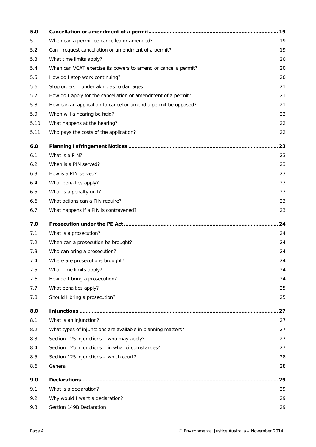| 5.0  |                                                                | 19 |
|------|----------------------------------------------------------------|----|
| 5.1  | When can a permit be cancelled or amended?                     | 19 |
| 5.2  | Can I request cancellation or amendment of a permit?           | 19 |
| 5.3  | What time limits apply?                                        | 20 |
| 5.4  | When can VCAT exercise its powers to amend or cancel a permit? | 20 |
| 5.5  | How do I stop work continuing?                                 | 20 |
| 5.6  | Stop orders - undertaking as to damages                        | 21 |
| 5.7  | How do I apply for the cancellation or amendment of a permit?  | 21 |
| 5.8  | How can an application to cancel or amend a permit be opposed? | 21 |
| 5.9  | When will a hearing be held?                                   | 22 |
| 5.10 | What happens at the hearing?                                   | 22 |
| 5.11 | Who pays the costs of the application?                         | 22 |
| 6.0  |                                                                | 23 |
| 6.1  | What is a PIN?                                                 | 23 |
| 6.2  | When is a PIN served?                                          | 23 |
| 6.3  | How is a PIN served?                                           | 23 |
| 6.4  | What penalties apply?                                          | 23 |
| 6.5  | What is a penalty unit?                                        | 23 |
| 6.6  | What actions can a PIN require?                                | 23 |
| 6.7  | What happens if a PIN is contravened?                          | 23 |
| 7.0  |                                                                | 24 |
| 7.1  | What is a prosecution?                                         | 24 |
| 7.2  | When can a prosecution be brought?                             | 24 |
| 7.3  | Who can bring a prosecution?                                   | 24 |
| 7.4  | Where are prosecutions brought?                                | 24 |
| 7.5  | What time limits apply?                                        | 24 |
| 7.6  | How do I bring a prosecution?                                  | 24 |
| 7.7  | What penalties apply?                                          | 25 |
| 7.8  | Should I bring a prosecution?                                  | 25 |
| 8.0  |                                                                | 27 |
| 8.1  | What is an injunction?                                         | 27 |
| 8.2  | What types of injunctions are available in planning matters?   | 27 |
| 8.3  | Section 125 injunctions - who may apply?                       | 27 |
| 8.4  | Section 125 injunctions - in what circumstances?               | 27 |
| 8.5  | Section 125 injunctions - which court?                         | 28 |
| 8.6  | General                                                        | 28 |
| 9.0  |                                                                | 29 |
| 9.1  | What is a declaration?                                         | 29 |
| 9.2  | Why would I want a declaration?                                | 29 |
| 9.3  | Section 149B Declaration                                       | 29 |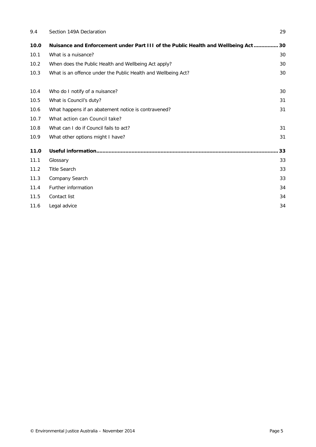| 9.4  | Section 149A Declaration                                                       | 29 |
|------|--------------------------------------------------------------------------------|----|
| 10.0 | Nuisance and Enforcement under Part III of the Public Health and Wellbeing Act | 30 |
| 10.1 | What is a nuisance?                                                            | 30 |
| 10.2 | When does the Public Health and Wellbeing Act apply?                           | 30 |
| 10.3 | What is an offence under the Public Health and Wellbeing Act?                  | 30 |
| 10.4 | Who do I notify of a nuisance?                                                 | 30 |
| 10.5 | What is Council's duty?                                                        | 31 |
| 10.6 | What happens if an abatement notice is contravened?                            | 31 |
| 10.7 | What action can Council take?                                                  |    |
| 10.8 | What can I do if Council fails to act?                                         | 31 |
| 10.9 | What other options might I have?                                               | 31 |
| 11.0 |                                                                                | 33 |
| 11.1 | Glossary                                                                       | 33 |
| 11.2 | <b>Title Search</b>                                                            | 33 |
| 11.3 | Company Search                                                                 | 33 |
| 11.4 | Further information                                                            | 34 |
| 11.5 | Contact list                                                                   | 34 |
| 11.6 | Legal advice                                                                   | 34 |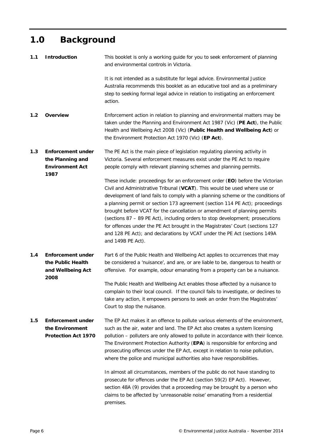### <span id="page-5-0"></span>**1.0 Background**

<span id="page-5-5"></span><span id="page-5-4"></span><span id="page-5-3"></span><span id="page-5-2"></span><span id="page-5-1"></span>

| 1.1 | <b>Introduction</b>                                                            | This booklet is only a working guide for you to seek enforcement of planning<br>and environmental controls in Victoria.                                                                                                                                                                                                                                                                                                                                                                                                                                                                       |
|-----|--------------------------------------------------------------------------------|-----------------------------------------------------------------------------------------------------------------------------------------------------------------------------------------------------------------------------------------------------------------------------------------------------------------------------------------------------------------------------------------------------------------------------------------------------------------------------------------------------------------------------------------------------------------------------------------------|
|     |                                                                                | It is not intended as a substitute for legal advice. Environmental Justice<br>Australia recommends this booklet as an educative tool and as a preliminary<br>step to seeking formal legal advice in relation to instigating an enforcement<br>action.                                                                                                                                                                                                                                                                                                                                         |
| 1.2 | <b>Overview</b>                                                                | Enforcement action in relation to planning and environmental matters may be<br>taken under the Planning and Environment Act 1987 (Vic) (PE Act), the Public<br>Health and Wellbeing Act 2008 (Vic) (Public Health and Wellbeing Act) or<br>the Environment Protection Act 1970 (Vic) (EP Act).                                                                                                                                                                                                                                                                                                |
| 1.3 | <b>Enforcement under</b><br>the Planning and<br><b>Environment Act</b><br>1987 | The PE Act is the main piece of legislation regulating planning activity in<br>Victoria. Several enforcement measures exist under the PE Act to require<br>people comply with relevant planning schemes and planning permits.<br>These include: proceedings for an enforcement order (EO) before the Victorian                                                                                                                                                                                                                                                                                |
|     |                                                                                | Civil and Administrative Tribunal (VCAT). This would be used where use or<br>development of land fails to comply with a planning scheme or the conditions of<br>a planning permit or section 173 agreement (section 114 PE Act); proceedings<br>brought before VCAT for the cancellation or amendment of planning permits<br>(sections 87 - 89 PE Act), including orders to stop development; prosecutions<br>for offences under the PE Act brought in the Magistrates' Court (sections 127<br>and 128 PE Act); and declarations by VCAT under the PE Act (sections 149A<br>and 149B PE Act). |
| 1.4 | Enforcement under<br>the Public Health<br>and Wellbeing Act<br>2008            | Part 6 of the Public Health and Wellbeing Act applies to occurrences that may<br>be considered a 'nuisance', and are, or are liable to be, dangerous to health or<br>offensive. For example, odour emanating from a property can be a nuisance.                                                                                                                                                                                                                                                                                                                                               |
|     |                                                                                | The Public Health and Wellbeing Act enables those affected by a nuisance to<br>complain to their local council. If the council fails to investigate, or declines to<br>take any action, it empowers persons to seek an order from the Magistrates'<br>Court to stop the nuisance.                                                                                                                                                                                                                                                                                                             |
| 1.5 | <b>Enforcement under</b><br>the Environment<br><b>Protection Act 1970</b>      | The EP Act makes it an offence to pollute various elements of the environment,<br>such as the air, water and land. The EP Act also creates a system licensing<br>pollution - polluters are only allowed to pollute in accordance with their licence.<br>The Environment Protection Authority (EPA) is responsible for enforcing and<br>prosecuting offences under the EP Act, except in relation to noise pollution,<br>where the police and municipal authorities also have responsibilities.                                                                                                |
|     |                                                                                | In almost all circumstances, members of the public do not have standing to<br>prosecute for offences under the EP Act (section 59(2) EP Act). However,<br>section 48A (9) provides that a proceeding may be brought by a person who<br>claims to be affected by 'unreasonable noise' emanating from a residential<br>premises.                                                                                                                                                                                                                                                                |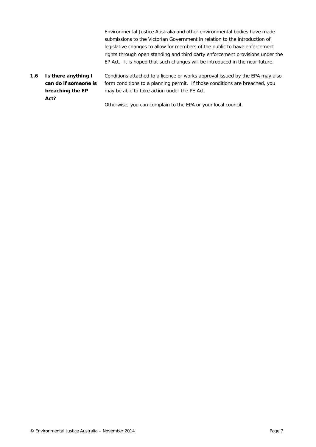Environmental Justice Australia and other environmental bodies have made submissions to the Victorian Government in relation to the introduction of legislative changes to allow for members of the public to have enforcement rights through open standing and third party enforcement provisions under the EP Act. It is hoped that such changes will be introduced in the near future.

<span id="page-6-0"></span>*1.6 Is there anything I can do if someone is breaching the EP Act?* Conditions attached to a licence or works approval issued by the EPA may also form conditions to a planning permit. If those conditions are breached, you may be able to take action under the PE Act.

Otherwise, you can complain to the EPA or your local council.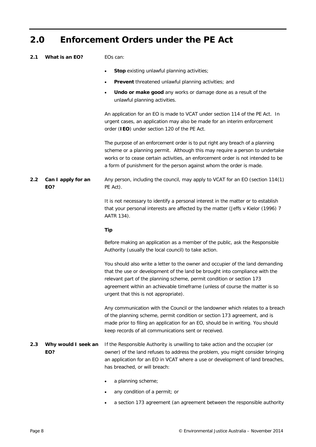#### <span id="page-7-0"></span>**2.0 Enforcement Orders under the PE Act**

- <span id="page-7-1"></span>*2.1 What is an EO?* EOs can:
	- **Stop** existing unlawful planning activities;
	- Prevent threatened unlawful planning activities; and
	- **Undo or make good** any works or damage done as a result of the unlawful planning activities.

An application for an EO is made to VCAT under section 114 of the PE Act. In urgent cases, an application may also be made for an interim enforcement order (**IEO**) under section 120 of the PE Act.

The purpose of an enforcement order is to put right any breach of a planning scheme or a planning permit. Although this may require a person to undertake works or to cease certain activities, an enforcement order is not intended to be a form of punishment for the person against whom the order is made.

<span id="page-7-2"></span>*2.2 Can I apply for an EO?* Any person, including the council, may apply to VCAT for an EO (section 114(1) PE Act).

> It is not necessary to identify a personal interest in the matter or to establish that your personal interests are affected by the matter (*Jeffs v Kielor (1996) 7 AATR 134*).

#### **Tip**

Before making an application as a member of the public, ask the Responsible Authority (usually the local council) to take action.

You should also write a letter to the owner and occupier of the land demanding that the use or development of the land be brought into compliance with the relevant part of the planning scheme, permit condition or section 173 agreement within an achievable timeframe (unless of course the matter is so urgent that this is not appropriate).

Any communication with the Council or the landowner which relates to a breach of the planning scheme, permit condition or section 173 agreement, and is made prior to filing an application for an EO, should be in writing. You should keep records of all communications sent or received.

#### <span id="page-7-3"></span>*2.3 Why would I seek an EO?* If the Responsible Authority is unwilling to take action and the occupier (or owner) of the land refuses to address the problem, you might consider bringing an application for an EO in VCAT where a use or development of land breaches, has breached, or will breach:

- a planning scheme;
- any condition of a permit; or
- a section 173 agreement (an agreement between the responsible authority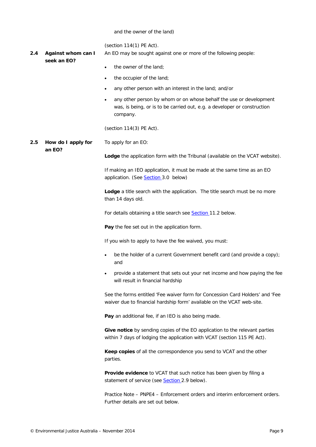#### and the owner of the land)

(section 114(1) PE Act).

<span id="page-8-0"></span>*2.4 Against whom can I*  An EO may be sought against one or more of the following people:

*seek an EO?*

- the owner of the land;
- the occupier of the land;
- any other person with an interest in the land; and/or
- any other person by whom or on whose behalf the use or development was, is being, or is to be carried out, e.g. a developer or construction company.

(section 114(3) PE Act).

<span id="page-8-1"></span>*2.5 How do I apply for an EO?* To apply for an EO:

**Lodge** the application form with the Tribunal (available on the VCAT website).

If making an IEO application, it must be made at the same time as an EO application. (See **Section** 3.0 below)

**Lodge** a title search with the application. The title search must be no more than 14 days old.

For details obtaining a title search see [Section 11.2](#page-32-2) below.

**Pay** the fee set out in the application form.

If you wish to apply to have the fee waived, you must:

- be the holder of a current Government benefit card (and provide a copy); and
- provide a statement that sets out your net income and how paying the fee will result in financial hardship

See the forms entitled 'Fee waiver form for Concession Card Holders' and 'Fee waiver due to financial hardship form' available on the VCAT web-site.

**Pay** an additional fee, if an IEO is also being made.

**Give notice** by sending copies of the EO application to the relevant parties within 7 days of lodging the application with VCAT (section 115 PE Act).

**Keep copies** of all the correspondence you send to VCAT and the other parties.

**Provide evidence** to VCAT that such notice has been given by filing a statement of service (see **Section** 2.9 below).

*Practice Note – PNPE4 – Enforcement orders and interim enforcement orders.*  Further details are set out below.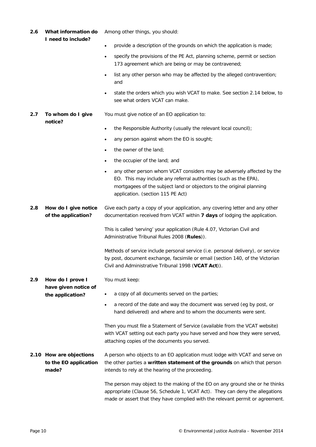<span id="page-9-4"></span><span id="page-9-3"></span><span id="page-9-2"></span><span id="page-9-1"></span>

|     |                                             | 173 agreement which are being or may be contravened;                                                                                                                                                                                                                |
|-----|---------------------------------------------|---------------------------------------------------------------------------------------------------------------------------------------------------------------------------------------------------------------------------------------------------------------------|
|     |                                             | list any other person who may be affected by the alleged contravention;<br>$\bullet$<br>and                                                                                                                                                                         |
|     |                                             | state the orders which you wish VCAT to make. See section 2.14 below, to<br>$\bullet$<br>see what orders VCAT can make.                                                                                                                                             |
| 2.7 | To whom do I give<br>notice?                | You must give notice of an EO application to:                                                                                                                                                                                                                       |
|     |                                             | the Responsible Authority (usually the relevant local council);<br>$\bullet$                                                                                                                                                                                        |
|     |                                             | any person against whom the EO is sought;<br>$\bullet$                                                                                                                                                                                                              |
|     |                                             | the owner of the land;<br>$\bullet$                                                                                                                                                                                                                                 |
|     |                                             | the occupier of the land; and<br>$\bullet$                                                                                                                                                                                                                          |
|     |                                             | any other person whom VCAT considers may be adversely affected by the<br>$\bullet$<br>EO. This may include any referral authorities (such as the EPA),<br>mortgagees of the subject land or objectors to the original planning<br>application. (section 115 PE Act) |
| 2.8 | How do I give notice<br>of the application? | Give each party a copy of your application, any covering letter and any other<br>documentation received from VCAT within 7 days of lodging the application.                                                                                                         |
|     |                                             | This is called 'serving' your application (Rule 4.07, Victorian Civil and<br>Administrative Tribunal Rules 2008 (Rules)).                                                                                                                                           |
|     |                                             | Methods of service include personal service (i.e. personal delivery), or service<br>by post, document exchange, facsimile or email (section 140, of the Victorian<br>Civil and Administrative Tribunal 1998 (VCAT Act)).                                            |
| 2.9 | How do I prove I                            | You must keep:                                                                                                                                                                                                                                                      |
|     | have given notice of<br>the application?    | a copy of all documents served on the parties;<br>$\bullet$                                                                                                                                                                                                         |
|     |                                             | a record of the date and way the document was served (eg by post, or<br>hand delivered) and where and to whom the documents were sent.                                                                                                                              |
|     |                                             | Then you must file a Statement of Service (available from the VCAT website)<br>with VCAT setting out each party you have served and how they were served,<br>attaching copies of the documents you served.                                                          |
|     | 2.10 How are objections                     | A person who objects to an EO application must lodge with VCAT and serve on                                                                                                                                                                                         |
|     | to the EO application<br>made?              | the other parties a written statement of the grounds on which that person<br>intends to rely at the hearing of the proceeding.                                                                                                                                      |
|     |                                             | The person may object to the making of the EO on any ground she or he thinks<br>appropriate (Clause 56, Schedule 1, VCAT Act). They can deny the allegations<br>made or assert that they have complied with the relevant permit or agreement.                       |

Among other things, you should:

• provide a description of the grounds on which the application is made;

• specify the provisions of the PE Act, planning scheme, permit or section

<span id="page-9-0"></span>*2.6 What information do I need to include?*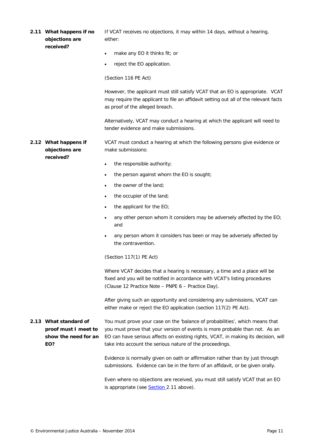<span id="page-10-2"></span><span id="page-10-1"></span><span id="page-10-0"></span>

|  | 2.11 What happens if no<br>objections are                                    | If VCAT receives no objections, it may within 14 days, without a hearing,<br>either:                                                                                                                                                                                                                          |  |  |
|--|------------------------------------------------------------------------------|---------------------------------------------------------------------------------------------------------------------------------------------------------------------------------------------------------------------------------------------------------------------------------------------------------------|--|--|
|  | received?                                                                    | make any EO it thinks fit; or<br>$\bullet$                                                                                                                                                                                                                                                                    |  |  |
|  |                                                                              | reject the EO application.<br>$\bullet$                                                                                                                                                                                                                                                                       |  |  |
|  |                                                                              | (Section 116 PE Act)                                                                                                                                                                                                                                                                                          |  |  |
|  |                                                                              | However, the applicant must still satisfy VCAT that an EO is appropriate. VCAT<br>may require the applicant to file an affidavit setting out all of the relevant facts<br>as proof of the alleged breach.                                                                                                     |  |  |
|  |                                                                              | Alternatively, VCAT may conduct a hearing at which the applicant will need to<br>tender evidence and make submissions.                                                                                                                                                                                        |  |  |
|  | 2.12 What happens if<br>objections are                                       | VCAT must conduct a hearing at which the following persons give evidence or<br>make submissions:                                                                                                                                                                                                              |  |  |
|  | received?                                                                    | the responsible authority;<br>$\bullet$                                                                                                                                                                                                                                                                       |  |  |
|  |                                                                              | the person against whom the EO is sought;<br>$\bullet$                                                                                                                                                                                                                                                        |  |  |
|  |                                                                              | the owner of the land;<br>$\bullet$                                                                                                                                                                                                                                                                           |  |  |
|  |                                                                              | the occupier of the land;<br>$\bullet$                                                                                                                                                                                                                                                                        |  |  |
|  |                                                                              | the applicant for the EO;<br>$\bullet$                                                                                                                                                                                                                                                                        |  |  |
|  |                                                                              | any other person whom it considers may be adversely affected by the EO;<br>$\bullet$<br>and                                                                                                                                                                                                                   |  |  |
|  |                                                                              | any person whom it considers has been or may be adversely affected by<br>$\bullet$<br>the contravention.                                                                                                                                                                                                      |  |  |
|  |                                                                              | (Section 117(1) PE Act)                                                                                                                                                                                                                                                                                       |  |  |
|  |                                                                              | Where VCAT decides that a hearing is necessary, a time and a place will be<br>fixed and you will be notified in accordance with VCAT's listing procedures<br>(Clause 12 Practice Note - PNPE 6 - Practice Day).                                                                                               |  |  |
|  |                                                                              | After giving such an opportunity and considering any submissions, VCAT can<br>either make or reject the EO application (section 117(2) PE Act).                                                                                                                                                               |  |  |
|  | 2.13 What standard of<br>proof must I meet to<br>show the need for an<br>EO? | You must prove your case on the 'balance of probabilities', which means that<br>you must prove that your version of events is more probable than not. As an<br>EO can have serious affects on existing rights, VCAT, in making its decision, will<br>take into account the serious nature of the proceedings. |  |  |
|  |                                                                              | Evidence is normally given on oath or affirmation rather than by just through<br>submissions. Evidence can be in the form of an affidavit, or be given orally.                                                                                                                                                |  |  |
|  |                                                                              | Even where no objections are received, you must still satisfy VCAT that an EO<br>is appropriate (see <b>Section</b> 2.11 above).                                                                                                                                                                              |  |  |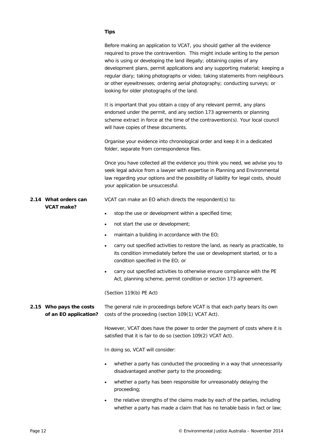#### **Tips**

<span id="page-11-1"></span><span id="page-11-0"></span>

|                                                  | Before making an application to VCAT, you should gather all the evidence<br>required to prove the contravention. This might include writing to the person<br>who is using or developing the land illegally; obtaining copies of any<br>development plans, permit applications and any supporting material; keeping a<br>regular diary; taking photographs or video; taking statements from neighbours<br>or other eyewitnesses; ordering aerial photography; conducting surveys; or<br>looking for older photographs of the land. |
|--------------------------------------------------|-----------------------------------------------------------------------------------------------------------------------------------------------------------------------------------------------------------------------------------------------------------------------------------------------------------------------------------------------------------------------------------------------------------------------------------------------------------------------------------------------------------------------------------|
|                                                  | It is important that you obtain a copy of any relevant permit, any plans<br>endorsed under the permit, and any section 173 agreements or planning<br>scheme extract in force at the time of the contravention(s). Your local council<br>will have copies of these documents.                                                                                                                                                                                                                                                      |
|                                                  | Organise your evidence into chronological order and keep it in a dedicated<br>folder, separate from correspondence files.                                                                                                                                                                                                                                                                                                                                                                                                         |
|                                                  | Once you have collected all the evidence you think you need, we advise you to<br>seek legal advice from a lawyer with expertise in Planning and Environmental<br>law regarding your options and the possibility of liability for legal costs, should<br>your application be unsuccessful.                                                                                                                                                                                                                                         |
| 2.14 What orders can                             | VCAT can make an EO which directs the respondent(s) to:                                                                                                                                                                                                                                                                                                                                                                                                                                                                           |
| <b>VCAT</b> make?                                | stop the use or development within a specified time;<br>$\bullet$                                                                                                                                                                                                                                                                                                                                                                                                                                                                 |
|                                                  | not start the use or development;<br>$\bullet$                                                                                                                                                                                                                                                                                                                                                                                                                                                                                    |
|                                                  | maintain a building in accordance with the EO;<br>$\bullet$                                                                                                                                                                                                                                                                                                                                                                                                                                                                       |
|                                                  | carry out specified activities to restore the land, as nearly as practicable, to<br>$\bullet$<br>its condition immediately before the use or development started, or to a<br>condition specified in the EO; or                                                                                                                                                                                                                                                                                                                    |
|                                                  | carry out specified activities to otherwise ensure compliance with the PE<br>$\bullet$<br>Act, planning scheme, permit condition or section 173 agreement.                                                                                                                                                                                                                                                                                                                                                                        |
|                                                  | (Section 119(b) PE Act)                                                                                                                                                                                                                                                                                                                                                                                                                                                                                                           |
| 2.15 Who pays the costs<br>of an EO application? | The general rule in proceedings before VCAT is that each party bears its own<br>costs of the proceeding (section 109(1) VCAT Act).                                                                                                                                                                                                                                                                                                                                                                                                |
|                                                  | However, VCAT does have the power to order the payment of costs where it is<br>satisfied that it is fair to do so (section 109(2) VCAT Act).                                                                                                                                                                                                                                                                                                                                                                                      |
|                                                  | In doing so, VCAT will consider:                                                                                                                                                                                                                                                                                                                                                                                                                                                                                                  |
|                                                  | whether a party has conducted the proceeding in a way that unnecessarily<br>٠<br>disadvantaged another party to the proceeding;                                                                                                                                                                                                                                                                                                                                                                                                   |
|                                                  | whether a party has been responsible for unreasonably delaying the<br>٠<br>proceeding;                                                                                                                                                                                                                                                                                                                                                                                                                                            |
|                                                  | the relative strengths of the claims made by each of the parties, including<br>whether a party has made a claim that has no tenable basis in fact or law;                                                                                                                                                                                                                                                                                                                                                                         |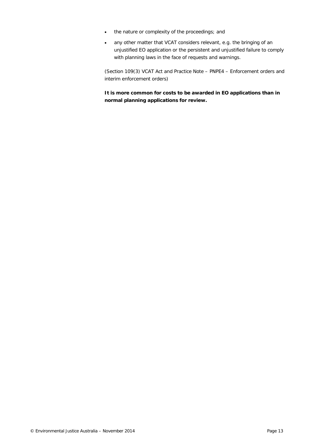- the nature or complexity of the proceedings; and
- any other matter that VCAT considers relevant, e.g. the bringing of an unjustified EO application or the persistent and unjustified failure to comply with planning laws in the face of requests and warnings.

(Section 109(3) VCAT Act and *Practice Note – PNPE4 – Enforcement orders and interim enforcement orders*)

**It is more common for costs to be awarded in EO applications than in normal planning applications for review.**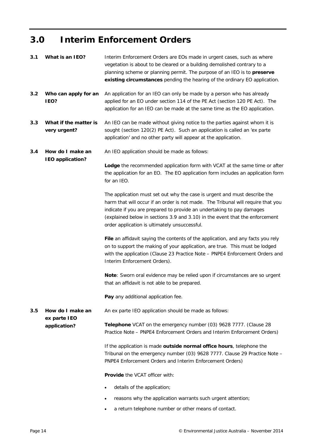### <span id="page-13-0"></span>**3.0 Interim Enforcement Orders**

<span id="page-13-5"></span><span id="page-13-4"></span><span id="page-13-3"></span><span id="page-13-2"></span><span id="page-13-1"></span>

| 3.1 | What is an IEO?                       | Interim Enforcement Orders are EOs made in urgent cases, such as where<br>vegetation is about to be cleared or a building demolished contrary to a<br>planning scheme or planning permit. The purpose of an IEO is to preserve<br>existing circumstances pending the hearing of the ordinary EO application.                                                            |
|-----|---------------------------------------|-------------------------------------------------------------------------------------------------------------------------------------------------------------------------------------------------------------------------------------------------------------------------------------------------------------------------------------------------------------------------|
| 3.2 | Who can apply for an<br><b>IEO?</b>   | An application for an IEO can only be made by a person who has already<br>applied for an EO under section 114 of the PE Act (section 120 PE Act). The<br>application for an IEO can be made at the same time as the EO application.                                                                                                                                     |
| 3.3 | What if the matter is<br>very urgent? | An IEO can be made without giving notice to the parties against whom it is<br>sought (section 120(2) PE Act). Such an application is called an 'ex parte<br>application' and no other party will appear at the application.                                                                                                                                             |
| 3.4 | How do I make an                      | An IEO application should be made as follows:                                                                                                                                                                                                                                                                                                                           |
|     | <b>IEO</b> application?               | Lodge the recommended application form with VCAT at the same time or after<br>the application for an EO. The EO application form includes an application form<br>for an IEO.                                                                                                                                                                                            |
|     |                                       | The application must set out why the case is urgent and must describe the<br>harm that will occur if an order is not made. The Tribunal will require that you<br>indicate if you are prepared to provide an undertaking to pay damages<br>(explained below in sections 3.9 and 3.10) in the event that the enforcement<br>order application is ultimately unsuccessful. |
|     |                                       | File an affidavit saying the contents of the application, and any facts you rely<br>on to support the making of your application, are true. This must be lodged<br>with the application (Clause 23 Practice Note - PNPE4 Enforcement Orders and<br>Interim Enforcement Orders).                                                                                         |
|     |                                       | Note: Sworn oral evidence may be relied upon if circumstances are so urgent<br>that an affidavit is not able to be prepared.                                                                                                                                                                                                                                            |
|     |                                       | Pay any additional application fee.                                                                                                                                                                                                                                                                                                                                     |
| 3.5 | How do I make an                      | An ex parte IEO application should be made as follows:                                                                                                                                                                                                                                                                                                                  |
|     | ex parte IEO<br>application?          | Telephone VCAT on the emergency number (03) 9628 7777. (Clause 28<br>Practice Note - PNPE4 Enforcement Orders and Interim Enforcement Orders)                                                                                                                                                                                                                           |
|     |                                       | If the application is made outside normal office hours, telephone the<br>Tribunal on the emergency number (03) 9628 7777. Clause 29 Practice Note -<br>PNPE4 Enforcement Orders and Interim Enforcement Orders)                                                                                                                                                         |
|     |                                       | <b>Provide the VCAT officer with:</b>                                                                                                                                                                                                                                                                                                                                   |
|     |                                       | details of the application;<br>٠                                                                                                                                                                                                                                                                                                                                        |
|     |                                       | reasons why the application warrants such urgent attention;<br>٠                                                                                                                                                                                                                                                                                                        |
|     |                                       | a return telephone number or other means of contact.                                                                                                                                                                                                                                                                                                                    |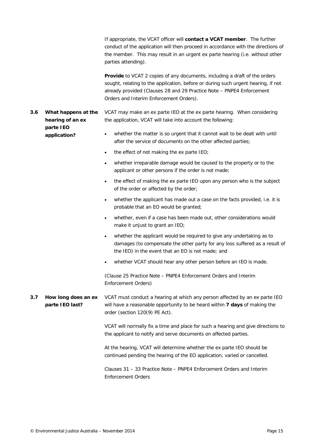If appropriate, the VCAT officer will **contact a VCAT member**. The further conduct of the application will then proceed in accordance with the directions of the member. This may result in an urgent *ex parte* hearing (i.e. without other parties attending).

**Provide** to VCAT 2 copies of any documents, including a draft of the orders sought, relating to the application, before or during such urgent hearing, if not already provided (Clauses 28 and 29 *Practice Note – PNPE4 Enforcement Orders and Interim Enforcement Orders*).

- <span id="page-14-0"></span>*3.6 What happens at the hearing of* **an** *ex parte IEO application?* VCAT may make an *ex parte* IEO at the *ex parte* hearing. When considering the application, VCAT will take into account the following: whether the matter is so urgent that it cannot wait to be dealt with until
	- after the service of documents on the other affected parties;
	- the effect of not making the *ex parte* IEO;
	- whether irreparable damage would be caused to the property or to the applicant or other persons if the order is not made;
	- the effect of making the *ex parte* IEO upon any person who is the subject of the order or affected by the order;
	- whether the applicant has made out a case on the facts provided, i.e. it is probable that an EO would be granted;
	- whether, even if a case has been made out, other considerations would make it unjust to grant an IEO;
	- whether the applicant would be required to give any undertaking as to damages (to compensate the other party for any loss suffered as a result of the IEO) in the event that an EO is not made; and
	- whether VCAT should hear any other person before an IEO is made.

(Clause 25 *Practice Note – PNPE4 Enforcement Orders and Interim Enforcement Orders*)

<span id="page-14-1"></span>*3.7 How long does an ex parte IEO last?* VCAT must conduct a hearing at which any person affected by an ex parte IEO will have a reasonable opportunity to be heard within **7 days** of making the order (section 120(9) PE Act).

> VCAT will normally fix a time and place for such a hearing and give directions to the applicant to notify and serve documents on affected parties.

At the hearing, VCAT will determine whether the *ex parte* IEO should be continued pending the hearing of the EO application, varied or cancelled.

Clauses 31 – 33 *Practice Note – PNPE4 Enforcement Orders and Interim Enforcement Orders*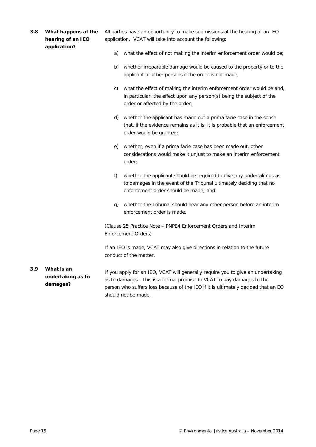<span id="page-15-1"></span><span id="page-15-0"></span>

| 3.8 | What happens at the<br>hearing of an IEO<br>application? |    | All parties have an opportunity to make submissions at the hearing of an IEO<br>application. VCAT will take into account the following:                                                                                                                              |
|-----|----------------------------------------------------------|----|----------------------------------------------------------------------------------------------------------------------------------------------------------------------------------------------------------------------------------------------------------------------|
|     |                                                          | a) | what the effect of not making the interim enforcement order would be;                                                                                                                                                                                                |
|     |                                                          |    | b) whether irreparable damage would be caused to the property or to the<br>applicant or other persons if the order is not made;                                                                                                                                      |
|     |                                                          | C) | what the effect of making the interim enforcement order would be and,<br>in particular, the effect upon any person(s) being the subject of the<br>order or affected by the order;                                                                                    |
|     |                                                          | d) | whether the applicant has made out a prima facie case in the sense<br>that, if the evidence remains as it is, it is probable that an enforcement<br>order would be granted;                                                                                          |
|     |                                                          | e) | whether, even if a prima facie case has been made out, other<br>considerations would make it unjust to make an interim enforcement<br>order;                                                                                                                         |
|     |                                                          | f) | whether the applicant should be required to give any undertakings as<br>to damages in the event of the Tribunal ultimately deciding that no<br>enforcement order should be made; and                                                                                 |
|     |                                                          | g) | whether the Tribunal should hear any other person before an interim<br>enforcement order is made.                                                                                                                                                                    |
|     |                                                          |    | (Clause 25 Practice Note – PNPE4 Enforcement Orders and Interim<br>Enforcement Orders)                                                                                                                                                                               |
|     |                                                          |    | If an IEO is made, VCAT may also give directions in relation to the future<br>conduct of the matter.                                                                                                                                                                 |
| 3.9 | What is an<br>undertaking as to<br>damages?              |    | If you apply for an IEO, VCAT will generally require you to give an undertaking<br>as to damages. This is a formal promise to VCAT to pay damages to the<br>person who suffers loss because of the IEO if it is ultimately decided that an EO<br>should not be made. |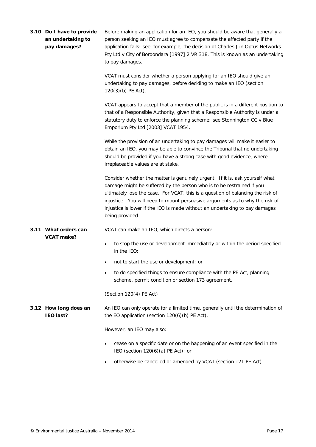<span id="page-16-2"></span><span id="page-16-1"></span><span id="page-16-0"></span>

| 3.10 Do I have to provide<br>an undertaking to<br>pay damages? | Before making an application for an IEO, you should be aware that generally a<br>person seeking an IEO must agree to compensate the affected party if the<br>application fails: see, for example, the decision of Charles J in Optus Networks<br>Pty Ltd v City of Boroondara [1997] 2 VR 318. This is known as an undertaking<br>to pay damages.                                                                          |  |
|----------------------------------------------------------------|----------------------------------------------------------------------------------------------------------------------------------------------------------------------------------------------------------------------------------------------------------------------------------------------------------------------------------------------------------------------------------------------------------------------------|--|
|                                                                | VCAT must consider whether a person applying for an IEO should give an<br>undertaking to pay damages, before deciding to make an IEO (section<br>120(3)(b) PE Act).                                                                                                                                                                                                                                                        |  |
|                                                                | VCAT appears to accept that a member of the public is in a different position to<br>that of a Responsible Authority, given that a Responsible Authority is under a<br>statutory duty to enforce the planning scheme: see Stonnington CC v Blue<br>Emporium Pty Ltd [2003] VCAT 1954.                                                                                                                                       |  |
|                                                                | While the provision of an undertaking to pay damages will make it easier to<br>obtain an IEO, you may be able to convince the Tribunal that no undertaking<br>should be provided if you have a strong case with good evidence, where<br>irreplaceable values are at stake.                                                                                                                                                 |  |
|                                                                | Consider whether the matter is genuinely urgent. If it is, ask yourself what<br>damage might be suffered by the person who is to be restrained if you<br>ultimately lose the case. For VCAT, this is a question of balancing the risk of<br>injustice. You will need to mount persuasive arguments as to why the risk of<br>injustice is lower if the IEO is made without an undertaking to pay damages<br>being provided. |  |
| 3.11 What orders can<br><b>VCAT</b> make?                      | VCAT can make an IEO, which directs a person:                                                                                                                                                                                                                                                                                                                                                                              |  |
|                                                                | to stop the use or development immediately or within the period specified<br>$\bullet$<br>in the IEO;                                                                                                                                                                                                                                                                                                                      |  |
|                                                                | not to start the use or development; or                                                                                                                                                                                                                                                                                                                                                                                    |  |
|                                                                | to do specified things to ensure compliance with the PE Act, planning<br>$\bullet$<br>scheme, permit condition or section 173 agreement.                                                                                                                                                                                                                                                                                   |  |
|                                                                | (Section 120(4) PE Act)                                                                                                                                                                                                                                                                                                                                                                                                    |  |
| 3.12 How long does an<br><b>IEO</b> last?                      | An IEO can only operate for a limited time, generally until the determination of<br>the EO application (section 120(6)(b) PE Act).                                                                                                                                                                                                                                                                                         |  |
|                                                                | However, an IEO may also:                                                                                                                                                                                                                                                                                                                                                                                                  |  |
|                                                                | cease on a specific date or on the happening of an event specified in the<br>$\bullet$<br>IEO (section $120(6)(a)$ PE Act); or                                                                                                                                                                                                                                                                                             |  |
|                                                                | otherwise be cancelled or amended by VCAT (section 121 PE Act).<br>$\bullet$                                                                                                                                                                                                                                                                                                                                               |  |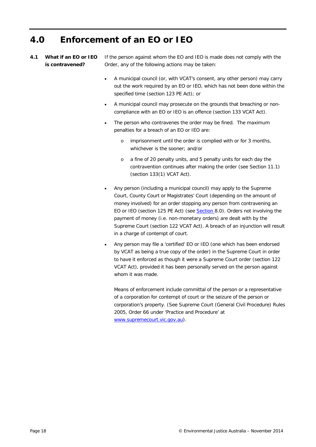#### <span id="page-17-0"></span>**4.0 Enforcement of an EO or IEO**

<span id="page-17-1"></span>*4.1 What if an EO or IEO is contravened?*

If the person against whom the EO and IEO is made does not comply with the Order, any of the following actions may be taken:

- A municipal council (or, with VCAT's consent, any other person) may carry out the work required by an EO or IEO, which has not been done within the specified time (section 123 PE Act); or
- A municipal council may prosecute on the grounds that breaching or noncompliance with an EO or IEO is an offence (section 133 VCAT Act).
- The person who contravenes the order may be fined. The maximum penalties for a breach of an EO or IEO are:
	- o imprisonment until the order is complied with or for 3 months, whichever is the sooner; and/or
	- o a fine of 20 penalty units, and 5 penalty units for each day the contravention continues after making the order (see Section 11.1) (section 133(1) VCAT Act).
- Any person (including a municipal council) may apply to the Supreme Court, County Court or Magistrates' Court (depending on the amount of money involved) for an order stopping any person from contravening an EO or IEO (section 125 PE Act) (see [Section](#page-26-0) [8.0\)](#page-26-0). Orders not involving the payment of money (i.e. non-monetary orders) are dealt with by the Supreme Court (section 122 VCAT Act). A breach of an injunction will result in a charge of contempt of court.
- Any person may file a 'certified' EO or IEO (one which has been endorsed by VCAT as being a true copy of the order) in the Supreme Court in order to have it enforced as though it were a Supreme Court order (section 122 VCAT Act), provided it has been personally served on the person against whom it was made.

Means of enforcement include committal of the person or a representative of a corporation for contempt of court or the seizure of the person or corporation's property. (See Supreme Court (General Civil Procedure) Rules 2005, Order 66 under 'Practice and Procedure' at [www.supremecourt.vic.gov.au\)](http://www.supremecourt.vic.gov.au/wps/wcm/connect/Supreme+Court/Home/Practice+and+Procedure/Supreme+Court+Rules/SUPREME+-+Supreme+Court+(General+Civil+Procedure)+Rules+2005+(LEGISLATION)).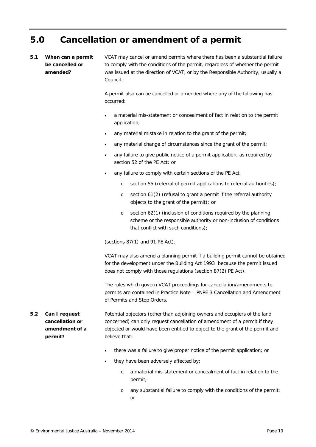#### <span id="page-18-0"></span>**5.0 Cancellation or amendment of a permit**

#### <span id="page-18-1"></span>*5.1 When can a permit be cancelled or amended?*

VCAT may cancel or amend permits where there has been a substantial failure to comply with the conditions of the permit, regardless of whether the permit was issued at the direction of VCAT, or by the Responsible Authority, usually a Council.

A permit also can be cancelled or amended where any of the following has occurred:

- a material mis-statement or concealment of fact in relation to the permit application;
- any material mistake in relation to the grant of the permit;
- any material change of circumstances since the grant of the permit;
- any failure to give public notice of a permit application, as required by section 52 of the PE Act; or
- any failure to comply with certain sections of the PE Act:
	- o section 55 (referral of permit applications to referral authorities);
	- o section 61(2) (refusal to grant a permit if the referral authority objects to the grant of the permit); or
	- o section 62(1) (inclusion of conditions required by the planning scheme or the responsible authority or non-inclusion of conditions that conflict with such conditions);

(sections 87(1) and 91 PE Act).

VCAT may also amend a planning permit if a building permit cannot be obtained for the development under the Building Act 1993 because the permit issued does not comply with those regulations (section 87(2) PE Act).

The rules which govern VCAT proceedings for cancellation/amendments to permits are contained in *Practice Note – PNPE 3 Cancellation and Amendment of Permits and Stop Orders.*

<span id="page-18-2"></span>*5.2 Can I request cancellation or amendment of a permit?* Potential objectors (other than adjoining owners and occupiers of the land concerned) can only request cancellation of amendment of a permit if they objected or would have been entitled to object to the grant of the permit and believe that:

- there was a failure to give proper notice of the permit application; or
- they have been adversely affected by:
	- o a material mis-statement or concealment of fact in relation to the permit;
	- o any substantial failure to comply with the conditions of the permit; or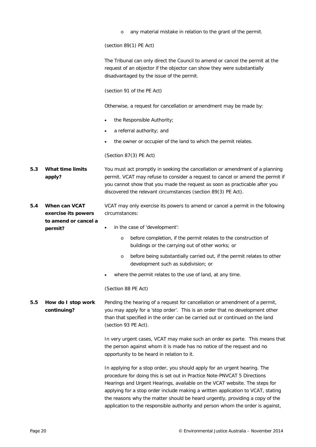<span id="page-19-2"></span><span id="page-19-1"></span><span id="page-19-0"></span>

|     |                                      | any material mistake in relation to the grant of the permit.<br>$\circ$                                                                                                                                                                                                                                                                                                                                                                                                                  |
|-----|--------------------------------------|------------------------------------------------------------------------------------------------------------------------------------------------------------------------------------------------------------------------------------------------------------------------------------------------------------------------------------------------------------------------------------------------------------------------------------------------------------------------------------------|
|     |                                      | (section $89(1)$ PE Act)                                                                                                                                                                                                                                                                                                                                                                                                                                                                 |
|     |                                      | The Tribunal can only direct the Council to amend or cancel the permit at the<br>request of an objector if the objector can show they were substantially<br>disadvantaged by the issue of the permit.                                                                                                                                                                                                                                                                                    |
|     |                                      | (section 91 of the PE Act)                                                                                                                                                                                                                                                                                                                                                                                                                                                               |
|     |                                      | Otherwise, a request for cancellation or amendment may be made by:                                                                                                                                                                                                                                                                                                                                                                                                                       |
|     |                                      | the Responsible Authority;                                                                                                                                                                                                                                                                                                                                                                                                                                                               |
|     |                                      | a referral authority; and                                                                                                                                                                                                                                                                                                                                                                                                                                                                |
|     |                                      | the owner or occupier of the land to which the permit relates.                                                                                                                                                                                                                                                                                                                                                                                                                           |
|     |                                      | (Section 87(3) PE Act)                                                                                                                                                                                                                                                                                                                                                                                                                                                                   |
| 5.3 | <b>What time limits</b><br>apply?    | You must act promptly in seeking the cancellation or amendment of a planning<br>permit. VCAT may refuse to consider a request to cancel or amend the permit if<br>you cannot show that you made the request as soon as practicable after you<br>discovered the relevant circumstances (section 89(3) PE Act).                                                                                                                                                                            |
| 5.4 | When can VCAT<br>exercise its powers | VCAT may only exercise its powers to amend or cancel a permit in the following<br>circumstances:                                                                                                                                                                                                                                                                                                                                                                                         |
|     | to amend or cancel a<br>permit?      | in the case of 'development':<br>٠                                                                                                                                                                                                                                                                                                                                                                                                                                                       |
|     |                                      | before completion, if the permit relates to the construction of<br>O<br>buildings or the carrying out of other works; or                                                                                                                                                                                                                                                                                                                                                                 |
|     |                                      | before being substantially carried out, if the permit relates to other<br>$\circ$<br>development such as subdivision; or                                                                                                                                                                                                                                                                                                                                                                 |
|     |                                      | where the permit relates to the use of land, at any time.                                                                                                                                                                                                                                                                                                                                                                                                                                |
|     |                                      | (Section 88 PE Act)                                                                                                                                                                                                                                                                                                                                                                                                                                                                      |
| 5.5 | How do I stop work<br>continuing?    | Pending the hearing of a request for cancellation or amendment of a permit,<br>you may apply for a 'stop order'. This is an order that no development other<br>than that specified in the order can be carried out or continued on the land<br>(section 93 PE Act).                                                                                                                                                                                                                      |
|     |                                      | In very urgent cases, VCAT may make such an order ex parte. This means that<br>the person against whom it is made has no notice of the request and no<br>opportunity to be heard in relation to it.                                                                                                                                                                                                                                                                                      |
|     |                                      | In applying for a stop order, you should apply for an urgent hearing. The<br>procedure for doing this is set out in Practice Note-PNVCAT 5 Directions<br>Hearings and Urgent Hearings, available on the VCAT website. The steps for<br>applying for a stop order include making a written application to VCAT, stating<br>the reasons why the matter should be heard urgently, providing a copy of the<br>application to the responsible authority and person whom the order is against, |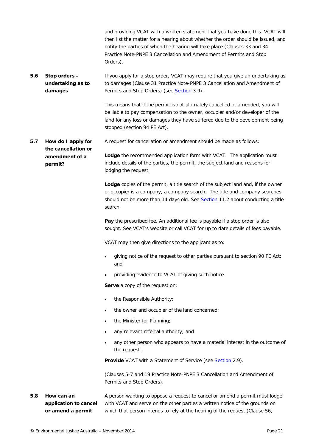and providing VCAT with a written statement that you have done this. VCAT will then list the matter for a hearing about whether the order should be issued, and notify the parties of when the hearing will take place (Clauses 33 and 34 *Practice Note-PNPE 3 Cancellation and Amendment of Permits and Stop Orders*).

<span id="page-20-0"></span>*5.6 Stop orders – undertaking as to damages* If you apply for a stop order, VCAT may require that you give an undertaking as to damages (Clause 31 *Practice Note-PNPE 3 Cancellation and Amendment of Permits and Stop Orders*) (see [Section 3.9\)](#page-15-1).

> This means that if the permit is not ultimately cancelled or amended, you will be liable to pay compensation to the owner, occupier and/or developer of the land for any loss or damages they have suffered due to the development being stopped (section 94 PE Act).

<span id="page-20-1"></span>*5.7 How do I apply for the cancellation or amendment of a permit?* A request for cancellation or amendment should be made as follows: **Lodge** the recommended application form with VCAT. The application must include details of the parties, the permit, the subject land and reasons for lodging the request.

> **Lodge** copies of the permit, a title search of the subject land and, if the owner or occupier is a company, a company search. The title and company searches should not be more than 14 days old. See [Section](#page-32-2) [11.2](#page-32-2) about conducting a title search.

**Pay** the prescribed fee. An additional fee is payable if a stop order is also sought. See VCAT's website or call VCAT for up to date details of fees payable.

VCAT may then give directions to the applicant as to:

- giving notice of the request to other parties pursuant to section 90 PE Act; and
- providing evidence to VCAT of giving such notice.

**Serve** a copy of the request on:

- the Responsible Authority;
- the owner and occupier of the land concerned;
- the Minister for Planning;
- any relevant referral authority; and
- any other person who appears to have a material interest in the outcome of the request.

**Provide** VCAT with a Statement of Service (see [Section](#page-9-3) [2.9\)](#page-9-3).

(Clauses 5-7 and 19 *Practice Note-PNPE 3 Cancellation and Amendment of Permits and Stop Orders*).

<span id="page-20-2"></span>*5.8 How can an application to cancel or amend a permit*  A person wanting to oppose a request to cancel or amend a permit must lodge with VCAT and serve on the other parties a written notice of the grounds on which that person intends to rely at the hearing of the request (Clause 56,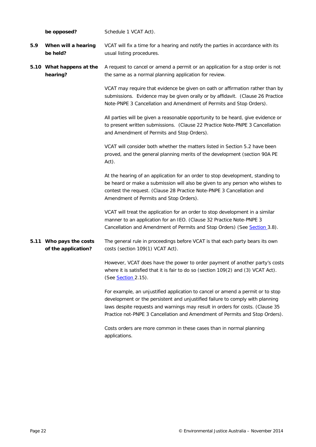<span id="page-21-2"></span><span id="page-21-1"></span><span id="page-21-0"></span>

|     | be opposed?                                    | Schedule 1 VCAT Act).                                                                                                                                                                                                                                                                                                           |  |
|-----|------------------------------------------------|---------------------------------------------------------------------------------------------------------------------------------------------------------------------------------------------------------------------------------------------------------------------------------------------------------------------------------|--|
| 5.9 | When will a hearing<br>be held?                | VCAT will fix a time for a hearing and notify the parties in accordance with its<br>usual listing procedures.                                                                                                                                                                                                                   |  |
|     | 5.10 What happens at the<br>hearing?           | A request to cancel or amend a permit or an application for a stop order is not<br>the same as a normal planning application for review.                                                                                                                                                                                        |  |
|     |                                                | VCAT may require that evidence be given on oath or affirmation rather than by<br>submissions. Evidence may be given orally or by affidavit. (Clause 26 Practice<br>Note-PNPE 3 Cancellation and Amendment of Permits and Stop Orders).                                                                                          |  |
|     |                                                | All parties will be given a reasonable opportunity to be heard, give evidence or<br>to present written submissions. (Clause 22 Practice Note-PNPE 3 Cancellation<br>and Amendment of Permits and Stop Orders).                                                                                                                  |  |
|     |                                                | VCAT will consider both whether the matters listed in Section 5.2 have been<br>proved, and the general planning merits of the development (section 90A PE<br>Act).                                                                                                                                                              |  |
|     |                                                | At the hearing of an application for an order to stop development, standing to<br>be heard or make a submission will also be given to any person who wishes to<br>contest the request. (Clause 28 Practice Note-PNPE 3 Cancellation and<br>Amendment of Permits and Stop Orders).                                               |  |
|     |                                                | VCAT will treat the application for an order to stop development in a similar<br>manner to an application for an IEO. (Clause 32 Practice Note-PNPE 3<br>Cancellation and Amendment of Permits and Stop Orders) (See Section 3.8).                                                                                              |  |
|     | 5.11 Who pays the costs<br>of the application? | The general rule in proceedings before VCAT is that each party bears its own<br>costs (section 109(1) VCAT Act).                                                                                                                                                                                                                |  |
|     |                                                | However, VCAT does have the power to order payment of another party's costs<br>where it is satisfied that it is fair to do so (section 109(2) and (3) VCAT Act).<br>(See Section 2.15).                                                                                                                                         |  |
|     |                                                | For example, an unjustified application to cancel or amend a permit or to stop<br>development or the persistent and unjustified failure to comply with planning<br>laws despite requests and warnings may result in orders for costs. (Clause 35<br>Practice not-PNPE 3 Cancellation and Amendment of Permits and Stop Orders). |  |
|     |                                                | Costs orders are more common in these cases than in normal planning<br>applications.                                                                                                                                                                                                                                            |  |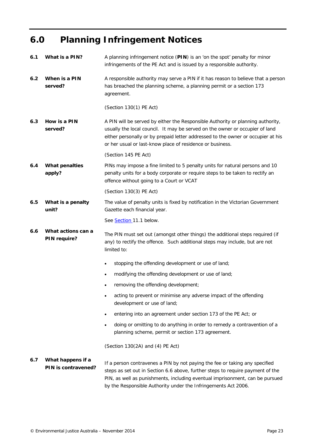### <span id="page-22-0"></span>**6.0 Planning Infringement Notices**

<span id="page-22-7"></span><span id="page-22-6"></span><span id="page-22-5"></span><span id="page-22-4"></span><span id="page-22-3"></span><span id="page-22-2"></span><span id="page-22-1"></span>

| 6.1 | What is a PIN?                            | A planning infringement notice (PIN) is an 'on the spot' penalty for minor<br>infringements of the PE Act and is issued by a responsible authority.                                                                                                                                                              |  |
|-----|-------------------------------------------|------------------------------------------------------------------------------------------------------------------------------------------------------------------------------------------------------------------------------------------------------------------------------------------------------------------|--|
| 6.2 | When is a PIN<br>served?                  | A responsible authority may serve a PIN if it has reason to believe that a person<br>has breached the planning scheme, a planning permit or a section 173<br>agreement.                                                                                                                                          |  |
|     |                                           | (Section 130(1) PE Act)                                                                                                                                                                                                                                                                                          |  |
| 6.3 | How is a PIN<br>served?                   | A PIN will be served by either the Responsible Authority or planning authority,<br>usually the local council. It may be served on the owner or occupier of land<br>either personally or by prepaid letter addressed to the owner or occupier at his<br>or her usual or last-know place of residence or business. |  |
|     |                                           | (Section 145 PE Act)                                                                                                                                                                                                                                                                                             |  |
| 6.4 | <b>What penalties</b><br>apply?           | PINs may impose a fine limited to 5 penalty units for natural persons and 10<br>penalty units for a body corporate or require steps to be taken to rectify an<br>offence without going to a Court or VCAT                                                                                                        |  |
|     |                                           | (Section 130(3) PE Act)                                                                                                                                                                                                                                                                                          |  |
| 6.5 | What is a penalty<br>unit?                | The value of penalty units is fixed by notification in the Victorian Government<br>Gazette each financial year.                                                                                                                                                                                                  |  |
|     |                                           | See Section 11.1 below.                                                                                                                                                                                                                                                                                          |  |
| 6.6 | What actions can a<br><b>PIN require?</b> | The PIN must set out (amongst other things) the additional steps required (if<br>any) to rectify the offence. Such additional steps may include, but are not<br>limited to:                                                                                                                                      |  |
|     |                                           | stopping the offending development or use of land;<br>$\bullet$                                                                                                                                                                                                                                                  |  |
|     |                                           | modifying the offending development or use of land;<br>$\bullet$                                                                                                                                                                                                                                                 |  |
|     |                                           | removing the offending development;                                                                                                                                                                                                                                                                              |  |
|     |                                           | acting to prevent or minimise any adverse impact of the offending<br>$\bullet$<br>development or use of land;                                                                                                                                                                                                    |  |
|     |                                           | entering into an agreement under section 173 of the PE Act; or<br>$\bullet$                                                                                                                                                                                                                                      |  |
|     |                                           | doing or omitting to do anything in order to remedy a contravention of a<br>$\bullet$<br>planning scheme, permit or section 173 agreement.                                                                                                                                                                       |  |
|     |                                           | (Section 130(2A) and (4) PE Act)                                                                                                                                                                                                                                                                                 |  |
| 6.7 | What happens if a<br>PIN is contravened?  | If a person contravenes a PIN by not paying the fee or taking any specified<br>steps as set out in Section 6.6 above, further steps to require payment of the<br>PIN, as well as punishments, including eventual imprisonment, can be pursued<br>by the Responsible Authority under the Infringements Act 2006.  |  |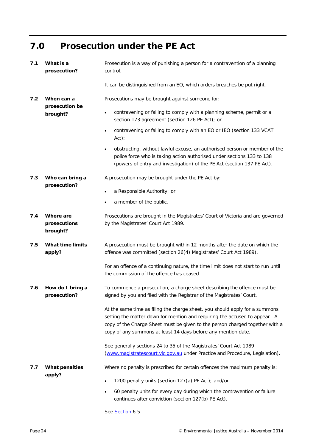### <span id="page-23-0"></span>**7.0 Prosecution under the PE Act**

<span id="page-23-5"></span><span id="page-23-4"></span><span id="page-23-3"></span><span id="page-23-2"></span><span id="page-23-1"></span>

| 7.1 | What is a<br>prosecution?             | Prosecution is a way of punishing a person for a contravention of a planning<br>control.                                                                                                                                                                                                                   |  |
|-----|---------------------------------------|------------------------------------------------------------------------------------------------------------------------------------------------------------------------------------------------------------------------------------------------------------------------------------------------------------|--|
|     |                                       | It can be distinguished from an EO, which orders breaches be put right.                                                                                                                                                                                                                                    |  |
| 7.2 | When can a<br>prosecution be          | Prosecutions may be brought against someone for:                                                                                                                                                                                                                                                           |  |
|     | brought?                              | contravening or failing to comply with a planning scheme, permit or a<br>$\bullet$<br>section 173 agreement (section 126 PE Act); or                                                                                                                                                                       |  |
|     |                                       | contravening or failing to comply with an EO or IEO (section 133 VCAT<br>$\bullet$<br>$Act)$ ;                                                                                                                                                                                                             |  |
|     |                                       | obstructing, without lawful excuse, an authorised person or member of the<br>$\bullet$<br>police force who is taking action authorised under sections 133 to 138<br>(powers of entry and investigation) of the PE Act (section 137 PE Act).                                                                |  |
| 7.3 | Who can bring a<br>prosecution?       | A prosecution may be brought under the PE Act by:                                                                                                                                                                                                                                                          |  |
|     |                                       | a Responsible Authority; or<br>$\bullet$                                                                                                                                                                                                                                                                   |  |
|     |                                       | a member of the public.<br>$\bullet$                                                                                                                                                                                                                                                                       |  |
| 7.4 | Where are<br>prosecutions<br>brought? | Prosecutions are brought in the Magistrates' Court of Victoria and are governed<br>by the Magistrates' Court Act 1989.                                                                                                                                                                                     |  |
| 7.5 | <b>What time limits</b><br>apply?     | A prosecution must be brought within 12 months after the date on which the<br>offence was committed (section 26(4) Magistrates' Court Act 1989).                                                                                                                                                           |  |
|     |                                       | For an offence of a continuing nature, the time limit does not start to run until<br>the commission of the offence has ceased.                                                                                                                                                                             |  |
| 7.6 | How do I bring a<br>prosecution?      | To commence a prosecution, a charge sheet describing the offence must be<br>signed by you and filed with the Registrar of the Magistrates' Court.                                                                                                                                                          |  |
|     |                                       | At the same time as filing the charge sheet, you should apply for a summons<br>setting the matter down for mention and requiring the accused to appear. A<br>copy of the Charge Sheet must be given to the person charged together with a<br>copy of any summons at least 14 days before any mention date. |  |
|     |                                       | See generally sections 24 to 35 of the Magistrates' Court Act 1989<br>(www.magistratescourt.vic.gov.au under Practice and Procedure, Legislation).                                                                                                                                                         |  |
| 7.7 | <b>What penalties</b><br>apply?       | Where no penalty is prescribed for certain offences the maximum penalty is:                                                                                                                                                                                                                                |  |
|     |                                       | 1200 penalty units (section 127(a) PE Act); and/or<br>٠                                                                                                                                                                                                                                                    |  |
|     |                                       | 60 penalty units for every day during which the contravention or failure<br>$\bullet$<br>continues after conviction (section 127(b) PE Act).                                                                                                                                                               |  |

<span id="page-23-7"></span><span id="page-23-6"></span>See [Section 6.5.](#page-22-5)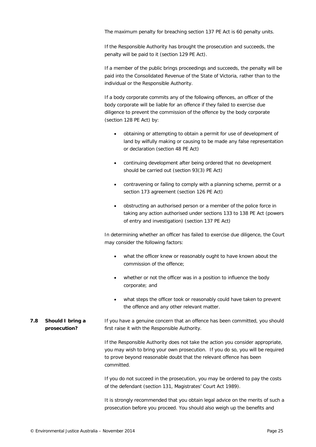The maximum penalty for breaching section 137 PE Act is 60 penalty units.

If the Responsible Authority has brought the prosecution and succeeds, the penalty will be paid to it (section 129 PE Act).

If a member of the public brings proceedings and succeeds, the penalty will be paid into the Consolidated Revenue of the State of Victoria, rather than to the individual or the Responsible Authority.

If a body corporate commits any of the following offences, an officer of the body corporate will be liable for an offence if they failed to exercise due diligence to prevent the commission of the offence by the body corporate (section 128 PE Act) by:

- obtaining or attempting to obtain a permit for use of development of land by wilfully making or causing to be made any false representation or declaration (section 48 PE Act)
- continuing development after being ordered that no development should be carried out (section 93(3) PE Act)
- contravening or failing to comply with a planning scheme, permit or a section 173 agreement (section 126 PE Act)
- obstructing an authorised person or a member of the police force in taking any action authorised under sections 133 to 138 PE Act (powers of entry and investigation) (section 137 PE Act)

In determining whether an officer has failed to exercise due diligence, the Court may consider the following factors:

- what the officer knew or reasonably ought to have known about the commission of the offence;
- whether or not the officer was in a position to influence the body corporate; and
- what steps the officer took or reasonably could have taken to prevent the offence and any other relevant matter.
- <span id="page-24-0"></span>*7.8 Should I bring a prosecution?* If you have a genuine concern that an offence has been committed, you should first raise it with the Responsible Authority.

If the Responsible Authority does not take the action you consider appropriate, you may wish to bring your own prosecution. If you do so, you will be required to prove beyond reasonable doubt that the relevant offence has been committed.

If you do not succeed in the prosecution, you may be ordered to pay the costs of the defendant (section 131, *Magistrates' Court Act 1989*).

It is strongly recommended that you obtain legal advice on the merits of such a prosecution before you proceed. You should also weigh up the benefits and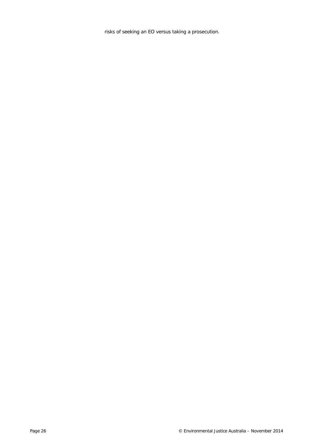risks of seeking an EO versus taking a prosecution.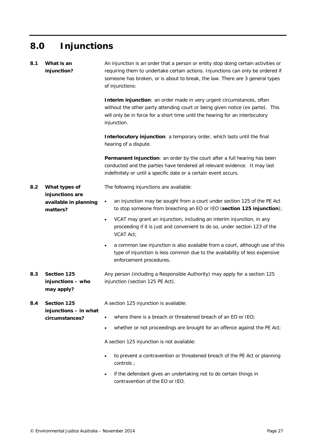## <span id="page-26-0"></span>**8.0 Injunctions**

<span id="page-26-4"></span><span id="page-26-3"></span><span id="page-26-2"></span><span id="page-26-1"></span>

| 8.1 | What is an<br>injunction?                                             | An injunction is an order that a person or entity stop doing certain activities or<br>requiring them to undertake certain actions. Injunctions can only be ordered if<br>someone has broken, or is about to break, the law. There are 3 general types<br>of injunctions: |  |
|-----|-----------------------------------------------------------------------|--------------------------------------------------------------------------------------------------------------------------------------------------------------------------------------------------------------------------------------------------------------------------|--|
|     |                                                                       | <b>Interim injunction:</b> an order made in very urgent circumstances, often<br>without the other party attending court or being given notice (ex parte). This<br>will only be in force for a short time until the hearing for an interlocutory<br>injunction.           |  |
|     |                                                                       | Interlocutory injunction: a temporary order, which lasts until the final<br>hearing of a dispute.                                                                                                                                                                        |  |
|     |                                                                       | <b>Permanent injunction:</b> an order by the court after a full hearing has been<br>conducted and the parties have tendered all relevant evidence. It may last<br>indefinitely or until a specific date or a certain event occurs.                                       |  |
| 8.2 | What types of<br>injunctions are<br>available in planning<br>matters? | The following injunctions are available:                                                                                                                                                                                                                                 |  |
|     |                                                                       | an injunction may be sought from a court under section 125 of the PE Act<br>$\bullet$<br>to stop someone from breaching an EO or IEO (section 125 injunction);                                                                                                           |  |
|     |                                                                       | VCAT may grant an injunction, including an interim injunction, in any<br>$\bullet$<br>proceeding if it is just and convenient to do so, under section 123 of the<br>VCAT Act;                                                                                            |  |
|     |                                                                       | a common law injunction is also available from a court, although use of this<br>$\bullet$<br>type of injunction is less common due to the availability of less expensive<br>enforcement procedures.                                                                      |  |
| 8.3 | Section 125<br>injunctions - who<br>may apply?                        | Any person (including a Responsible Authority) may apply for a section 125<br>injunction (section 125 PE Act).                                                                                                                                                           |  |
| 8.4 | Section 125<br>injunctions - in what<br>circumstances?                | A section 125 injunction is available:                                                                                                                                                                                                                                   |  |
|     |                                                                       | where there is a breach or threatened breach of an EO or IEO;<br>$\bullet$                                                                                                                                                                                               |  |
|     |                                                                       | whether or not proceedings are brought for an offence against the PE Act;<br>$\bullet$                                                                                                                                                                                   |  |
|     |                                                                       | A section 125 injunction is not available:                                                                                                                                                                                                                               |  |
|     |                                                                       | to prevent a contravention or threatened breach of the PE Act or planning<br>$\bullet$<br>controls ;                                                                                                                                                                     |  |
|     |                                                                       | if the defendant gives an undertaking not to do certain things in<br>$\bullet$<br>contravention of the EO or IEO.                                                                                                                                                        |  |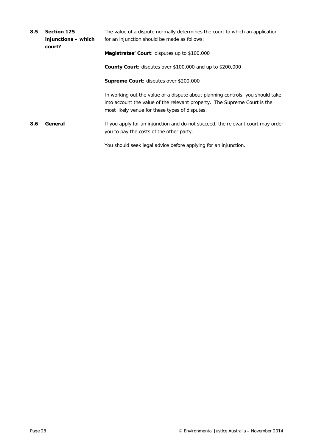<span id="page-27-1"></span><span id="page-27-0"></span>

| 8.5                                                                                                                                             | Section 125<br>injunctions – which<br>court? | The value of a dispute normally determines the court to which an application<br>for an injunction should be made as follows:                                |  |
|-------------------------------------------------------------------------------------------------------------------------------------------------|----------------------------------------------|-------------------------------------------------------------------------------------------------------------------------------------------------------------|--|
| Magistrates' Court: disputes up to \$100,000<br><b>Supreme Court:</b> disputes over \$200,000<br>most likely venue for these types of disputes. |                                              |                                                                                                                                                             |  |
|                                                                                                                                                 |                                              | <b>County Court:</b> disputes over \$100,000 and up to \$200,000                                                                                            |  |
|                                                                                                                                                 |                                              |                                                                                                                                                             |  |
|                                                                                                                                                 |                                              | In working out the value of a dispute about planning controls, you should take<br>into account the value of the relevant property. The Supreme Court is the |  |
| 8.6                                                                                                                                             | General                                      | If you apply for an injunction and do not succeed, the relevant court may order<br>you to pay the costs of the other party.                                 |  |
|                                                                                                                                                 |                                              | You should seek legal advice before applying for an injunction.                                                                                             |  |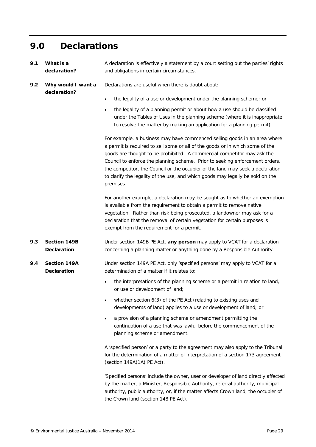### <span id="page-28-0"></span>**9.0 Declarations**

<span id="page-28-1"></span>*9.1 What is a declaration?* A declaration is effectively a statement by a court setting out the parties' rights and obligations in certain circumstances.

Declarations are useful when there is doubt about:

- <span id="page-28-2"></span>*9.2 Why would I want a declaration?*
- 
- the legality of a use or development under the planning scheme; or
- the legality of a planning permit or about how a use should be classified under the Tables of Uses in the planning scheme (where it is inappropriate to resolve the matter by making an application for a planning permit).

For example, a business may have commenced selling goods in an area where a permit is required to sell some or all of the goods or in which some of the goods are thought to be prohibited. A commercial competitor may ask the Council to enforce the planning scheme. Prior to seeking enforcement orders, the competitor, the Council or the occupier of the land may seek a declaration to clarify the legality of the use, and which goods may legally be sold on the premises.

For another example, a declaration may be sought as to whether an exemption is available from the requirement to obtain a permit to remove native vegetation. Rather than risk being prosecuted, a landowner may ask for a declaration that the removal of certain vegetation for certain purposes is exempt from the requirement for a permit.

- <span id="page-28-3"></span>*9.3 Section 149B Declaration* Under section 149B PE Act, **any person** may apply to VCAT for a declaration concerning a planning matter or anything done by a Responsible Authority.
- <span id="page-28-4"></span>*9.4 Section 149A Declaration* Under section 149A PE Act, only 'specified persons' may apply to VCAT for a determination of a matter if it relates to:
	- the interpretations of the planning scheme or a permit in relation to land, or use or development of land;
	- whether section 6(3) of the PE Act (relating to existing uses and developments of land) applies to a use or development of land; or
	- a provision of a planning scheme or amendment permitting the continuation of a use that was lawful before the commencement of the planning scheme or amendment.

A 'specified person' or a party to the agreement may also apply to the Tribunal for the determination of a matter of interpretation of a section 173 agreement (section 149A(1A) PE Act).

'Specified persons' include the owner, user or developer of land directly affected by the matter, a Minister, Responsible Authority, referral authority, municipal authority, public authority, or, if the matter affects Crown land, the occupier of the Crown land (section 148 PE Act).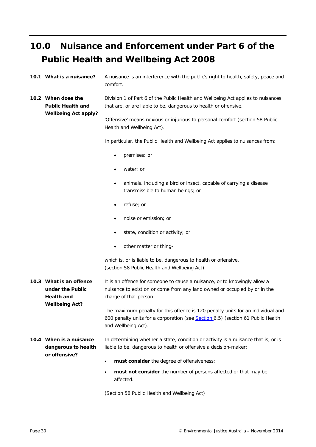### <span id="page-29-0"></span>**10.0 Nuisance and Enforcement under Part 6 of the Public Health and Wellbeing Act 2008**

<span id="page-29-1"></span>*10.1 What is a nuisance?* A nuisance is an interference with the public's right to health, safety, peace and comfort.

<span id="page-29-2"></span>*10.2 When does the Public Health and Wellbeing Act apply?* Division 1 of Part 6 of the Public Health and Wellbeing Act applies to nuisances that are, or are liable to be, dangerous to health or offensive.

> 'Offensive' means noxious or injurious to personal comfort (section 58 Public Health and Wellbeing Act).

In particular, the Public Health and Wellbeing Act applies to nuisances from:

- premises; or
- water; or
- animals, including a bird or insect, capable of carrying a disease transmissible to human beings; or
- refuse; or
- noise or emission; or
- state, condition or activity; or
- other matter or thing-

which is, or is liable to be, dangerous to health or offensive. (section 58 Public Health and Wellbeing Act).

<span id="page-29-3"></span>*10.3 What is an offence under the Public Health and Wellbeing Act?* It is an offence for someone to cause a nuisance, or to knowingly allow a nuisance to exist on or come from any land owned or occupied by or in the charge of that person.

> The maximum penalty for this offence is 120 penalty units for an individual and 600 penalty units for a corporation (see [Section 6.5\)](#page-22-5) (section 61 Public Health and Wellbeing Act).

#### *10.4 When is a nuisance dangerous to health or offensive?* In determining whether a state, condition or activity is a nuisance that is, or is liable to be, dangerous to health or offensive a decision-maker:

- **must consider** the degree of offensiveness;
- **must not consider** the number of persons affected or that may be affected.

(Section 58 Public Health and Wellbeing Act)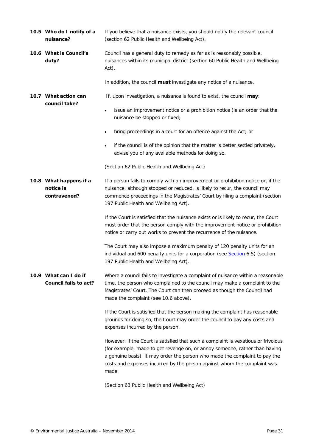<span id="page-30-3"></span><span id="page-30-2"></span><span id="page-30-1"></span><span id="page-30-0"></span>*10.5 Who do I notify of a nuisance?* If you believe that a nuisance exists, you should notify the relevant council (section 62 Public Health and Wellbeing Act). *10.6 What is Council's duty?* Council has a general duty to remedy as far as is reasonably possible, nuisances within its municipal district (section 60 Public Health and Wellbeing Act). In addition, the council **must** investigate any notice of a nuisance. *10.7 What action can council take?* If, upon investigation, a nuisance is found to exist, the council **may**: issue an improvement notice or a prohibition notice (ie an order that the nuisance be stopped or fixed; • bring proceedings in a court for an offence against the Act; or if the council is of the opinion that the matter is better settled privately, advise you of any available methods for doing so. (Section 62 Public Health and Wellbeing Act) *10.8 What happens if a notice is contravened?* If a person fails to comply with an improvement or prohibition notice or, if the nuisance, although stopped or reduced, is likely to recur, the council may commence proceedings in the Magistrates' Court by filing a complaint (section 197 Public Health and Wellbeing Act). If the Court is satisfied that the nuisance exists or is likely to recur, the Court must order that the person comply with the improvement notice or prohibition notice or carry out works to prevent the recurrence of the nuisance. The Court may also impose a maximum penalty of 120 penalty units for an individual and 600 penalty units for a corporation (see [Section 6.5\)](#page-22-5) (section 197 Public Health and Wellbeing Act). *10.9 What can I do if Council fails to act?* Where a council fails to investigate a complaint of nuisance within a reasonable time, the person who complained to the council may make a complaint to the Magistrates' Court. The Court can then proceed as though the Council had made the complaint (see 10.6 above). If the Court is satisfied that the person making the complaint has reasonable grounds for doing so, the Court may order the council to pay any costs and expenses incurred by the person. However, if the Court is satisfied that such a complaint is vexatious or frivolous (for example, made to get revenge on, or annoy someone, rather than having a genuine basis) it may order the person who made the complaint to pay the costs and expenses incurred by the person against whom the complaint was made. (Section 63 Public Health and Wellbeing Act)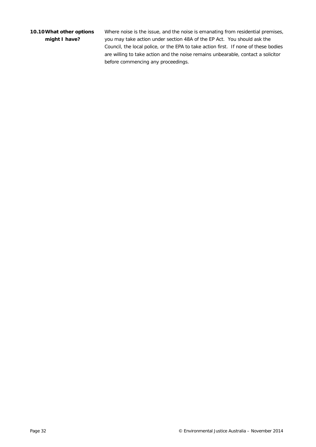#### <span id="page-31-0"></span>*10.10What other options might I have?*

Where noise is the issue, and the noise is emanating from residential premises, you may take action under section 48A of the EP Act. You should ask the Council, the local police, or the EPA to take action first. If none of these bodies are willing to take action and the noise remains unbearable, contact a solicitor before commencing any proceedings.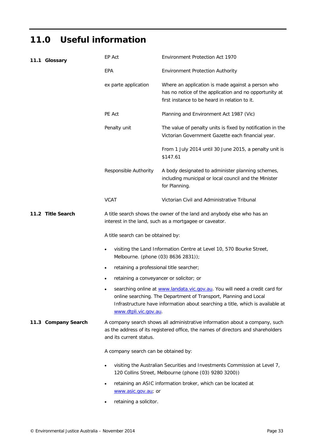### <span id="page-32-0"></span>**11.0 Useful information**

<span id="page-32-2"></span><span id="page-32-1"></span>

|                                                                                                                                                                            | 11.1 Glossary       | EP Act                                                                                                                                                                                     | <b>Environment Protection Act 1970</b>                                                                                                                                                                                             |  |
|----------------------------------------------------------------------------------------------------------------------------------------------------------------------------|---------------------|--------------------------------------------------------------------------------------------------------------------------------------------------------------------------------------------|------------------------------------------------------------------------------------------------------------------------------------------------------------------------------------------------------------------------------------|--|
|                                                                                                                                                                            |                     | EPA                                                                                                                                                                                        | Environment Protection Authority                                                                                                                                                                                                   |  |
|                                                                                                                                                                            |                     | ex parte application                                                                                                                                                                       | Where an application is made against a person who<br>has no notice of the application and no opportunity at<br>first instance to be heard in relation to it.                                                                       |  |
|                                                                                                                                                                            |                     | PE Act                                                                                                                                                                                     | Planning and Environment Act 1987 (Vic)                                                                                                                                                                                            |  |
|                                                                                                                                                                            |                     | Penalty unit                                                                                                                                                                               | The value of penalty units is fixed by notification in the<br>Victorian Government Gazette each financial year.                                                                                                                    |  |
|                                                                                                                                                                            |                     |                                                                                                                                                                                            | From 1 July 2014 until 30 June 2015, a penalty unit is<br>\$147.61                                                                                                                                                                 |  |
|                                                                                                                                                                            |                     | Responsible Authority                                                                                                                                                                      | A body designated to administer planning schemes,<br>including municipal or local council and the Minister<br>for Planning.                                                                                                        |  |
|                                                                                                                                                                            |                     | <b>VCAT</b>                                                                                                                                                                                | Victorian Civil and Administrative Tribunal                                                                                                                                                                                        |  |
|                                                                                                                                                                            | 11.2 Title Search   | A title search shows the owner of the land and anybody else who has an<br>interest in the land, such as a mortgagee or caveator.                                                           |                                                                                                                                                                                                                                    |  |
|                                                                                                                                                                            |                     | A title search can be obtained by:                                                                                                                                                         |                                                                                                                                                                                                                                    |  |
| ٠                                                                                                                                                                          |                     | Melbourne. (phone (03) 8636 2831));                                                                                                                                                        | visiting the Land Information Centre at Level 10, 570 Bourke Street,                                                                                                                                                               |  |
|                                                                                                                                                                            |                     |                                                                                                                                                                                            | retaining a professional title searcher;                                                                                                                                                                                           |  |
|                                                                                                                                                                            |                     | retaining a conveyancer or solicitor; or                                                                                                                                                   |                                                                                                                                                                                                                                    |  |
|                                                                                                                                                                            |                     | www.dtpli.vic.gov.au.                                                                                                                                                                      | searching online at www.landata.vic.gov.au. You will need a credit card for<br>online searching. The Department of Transport, Planning and Local<br>Infrastructure have information about searching a title, which is available at |  |
|                                                                                                                                                                            | 11.3 Company Search | A company search shows all administrative information about a company, such<br>as the address of its registered office, the names of directors and shareholders<br>and its current status. |                                                                                                                                                                                                                                    |  |
| A company search can be obtained by:<br>visiting the Australian Securities and Investments Commission at Level 7,<br>120 Collins Street, Melbourne (phone (03) 9280 3200)) |                     |                                                                                                                                                                                            |                                                                                                                                                                                                                                    |  |
|                                                                                                                                                                            |                     |                                                                                                                                                                                            |                                                                                                                                                                                                                                    |  |
|                                                                                                                                                                            |                     | retaining an ASIC information broker, which can be located at<br>www.asic.gov.au; or                                                                                                       |                                                                                                                                                                                                                                    |  |
|                                                                                                                                                                            |                     |                                                                                                                                                                                            |                                                                                                                                                                                                                                    |  |

<span id="page-32-3"></span>• retaining a solicitor.